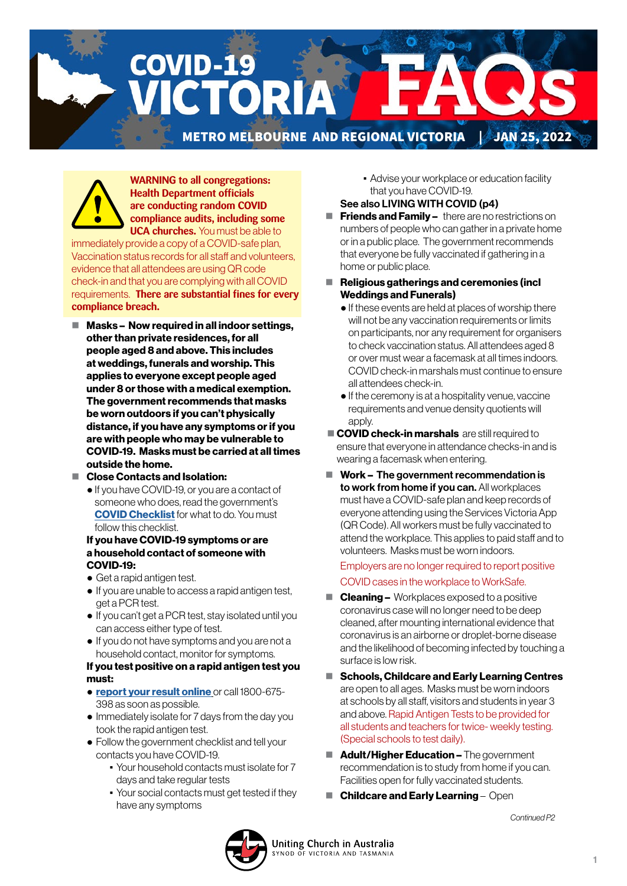**COVID-19** CTORIA

METRO MELBOURNE AND REGIONAL VICTORIA | JAN 25, 2022

**WARNING to all congregations: Health Department officials are conducting random COVID compliance audits, including some UCA churches.** You must be able to

immediately provide a copy of a COVID-safe plan, Vaccination status records for all staff and volunteers, evidence that all attendees are using QR code check-in and that you are complying with all COVID requirements. **There are substantial fines for every compliance breach.** 

- $\blacksquare$  Masks Now required in all indoor settings, other than private residences, for all people aged 8 and above. This includes at weddings, funerals and worship. This applies to everyone except people aged under 8 or those with a medical exemption. The government recommends that masks be worn outdoors if you can't physically distance, if you have any symptoms or if you are with people who may be vulnerable to COVID-19. Masks must be carried at all times outside the home.
- Close Contacts and Isolation:
	- If you have COVID-19, or you are a contact of someone who does, read the government's **[COVID Checklist](https://www.coronavirus.vic.gov.au/checklist)** for what to do. You must follow this checklist.

#### If you have COVID-19 symptoms or are a household contact of someone with COVID-19:

- Get a rapid antigen test.
- If you are unable to access a rapid antigen test, get a PCR test.
- If you can't get a PCR test, stay isolated until you can access either type of test.
- If you do not have symptoms and you are not a household contact, monitor for symptoms.

#### If you test positive on a rapid antigen test you must:

- [report your result online](https://www.coronavirus.vic.gov.au/node/22270) or call 1800-675- 398 as soon as possible.
- Immediately isolate for 7 days from the day you took the rapid antigen test.
- Follow the government checklist and tell your contacts you have COVID-19.
	- Your household contacts must isolate for 7 days and take regular tests
	- Your social contacts must get tested if they have any symptoms

**• Advise your workplace or education facility** that you have COVID-19.

### See also LIVING WITH COVID (p4)

- $\blacksquare$  Friends and Family there are no restrictions on numbers of people who can gather in a private home or in a public place. The government recommends that everyone be fully vaccinated if gathering in a home or public place.
- $\blacksquare$  Religious gatherings and ceremonies (incl Weddings and Funerals)
	- If these events are held at places of worship there will not be any vaccination requirements or limits on participants, nor any requirement for organisers to check vaccination status. All attendees aged 8 or over must wear a facemask at all times indoors. COVID check-in marshals must continue to ensure all attendees check-in.
	- If the ceremony is at a hospitality venue, vaccine requirements and venue density quotients will apply.
- **COVID check-in marshals** are still required to ensure that everyone in attendance checks-in and is wearing a facemask when entering.
- $\blacksquare$  Work The government recommendation is to work from home if you can. All workplaces must have a COVID-safe plan and keep records of everyone attending using the Services Victoria App (QR Code). All workers must be fully vaccinated to attend the workplace. This applies to paid staff and to volunteers. Masks must be worn indoors.

 Employers are no longer required to report positive COVID cases in the workplace to WorkSafe.

- **Cleaning –** Workplaces exposed to a positive coronavirus case will no longer need to be deep cleaned, after mounting international evidence that coronavirus is an airborne or droplet-borne disease and the likelihood of becoming infected by touching a surface is low risk.
- Schools, Childcare and Early Learning Centres are open to all ages. Masks must be worn indoors at schools by all staff, visitors and students in year 3 and above. Rapid Antigen Tests to be provided for all students and teachers for twice- weekly testing. (Special schools to test daily).
- **Adult/Higher Education –** The government recommendation is to study from home if you can. Facilities open for fully vaccinated students.
- Childcare and Early Learning Open

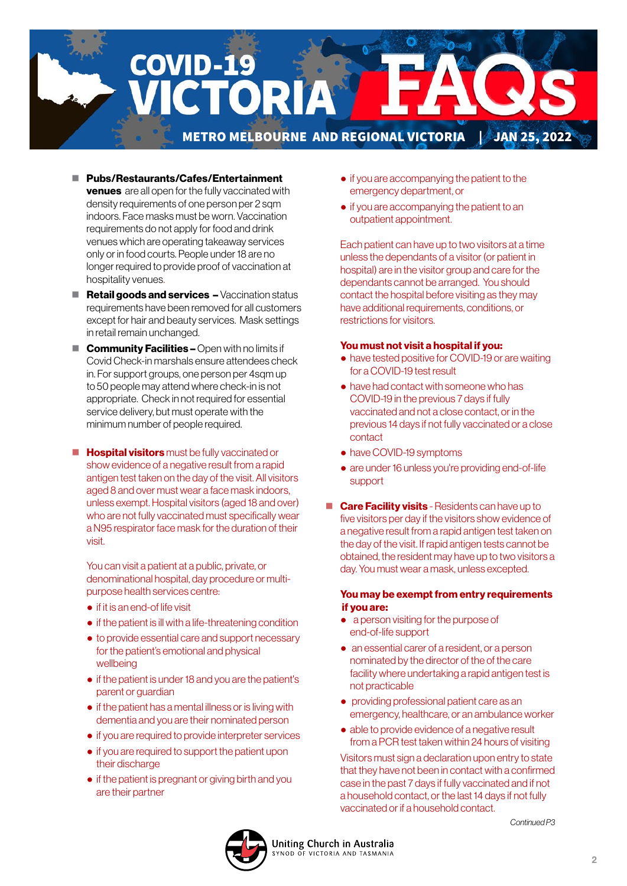

- Pubs/Restaurants/Cafes/Entertainment venues are all open for the fully vaccinated with density requirements of one person per 2 sqm indoors. Face masks must be worn. Vaccination requirements do not apply for food and drink venues which are operating takeaway services only or in food courts. People under 18 are no longer required to provide proof of vaccination at hospitality venues.
- $\blacksquare$  Retail goods and services  $\blacktriangle$  Vaccination status requirements have been removed for all customers except for hair and beauty services. Mask settings in retail remain unchanged.
- $\blacksquare$  **Community Facilities –** Open with no limits if Covid Check-in marshals ensure attendees check in. For support groups, one person per 4sqm up to 50 people may attend where check-in is not appropriate. Check in not required for essential service delivery, but must operate with the minimum number of people required.
- $\blacksquare$  **Hospital visitors** must be fully vaccinated or show evidence of a negative result from a rapid antigen test taken on the day of the visit. All visitors aged 8 and over must wear a face mask indoors, unless exempt. Hospital visitors (aged 18 and over) who are not fully vaccinated must specifically wear a N95 respirator face mask for the duration of their visit.

 You can visit a patient at a public, private, or denominational hospital, day procedure or multipurpose health services centre:

- if it is an end-of life visit
- if the patient is ill with a life-threatening condition
- to provide essential care and support necessary for the patient's emotional and physical wellbeing
- if the patient is under 18 and you are the patient's parent or guardian
- if the patient has a mental illness or is living with dementia and you are their nominated person
- if you are required to provide interpreter services
- if you are required to support the patient upon their discharge
- if the patient is pregnant or giving birth and you are their partner
- if you are accompanying the patient to the emergency department, or
- if you are accompanying the patient to an outpatient appointment.

 Each patient can have up to two visitors at a time unless the dependants of a visitor (or patient in hospital) are in the visitor group and care for the dependants cannot be arranged. You should contact the hospital before visiting as they may have additional requirements, conditions, or restrictions for visitors.

#### You must not visit a hospital if you:

- have tested positive for COVID-19 or are waiting for a COVID-19 test result
- have had contact with someone who has COVID-19 in the previous 7 days if fully vaccinated and not a close contact, or in the previous 14 days if not fully vaccinated or a close contact
- have COVID-19 symptoms
- are under 16 unless you're providing end-of-life support
- **Care Facility visits** Residents can have up to five visitors per day if the visitors show evidence of a negative result from a rapid antigen test taken on the day of the visit. If rapid antigen tests cannot be obtained, the resident may have up to two visitors a day. You must wear a mask, unless excepted.

### You may be exempt from entry requirements if you are:

- a person visiting for the purpose of end-of-life support
- an essential carer of a resident, or a person nominated by the director of the of the care facility where undertaking a rapid antigen test is not practicable
- providing professional patient care as an emergency, healthcare, or an ambulance worker
- able to provide evidence of a negative result from a PCR test taken within 24 hours of visiting

 Visitors must sign a declaration upon entry to state that they have not been in contact with a confirmed case in the past 7 days if fully vaccinated and if not a household contact, or the last 14 days if not fully vaccinated or if a household contact.

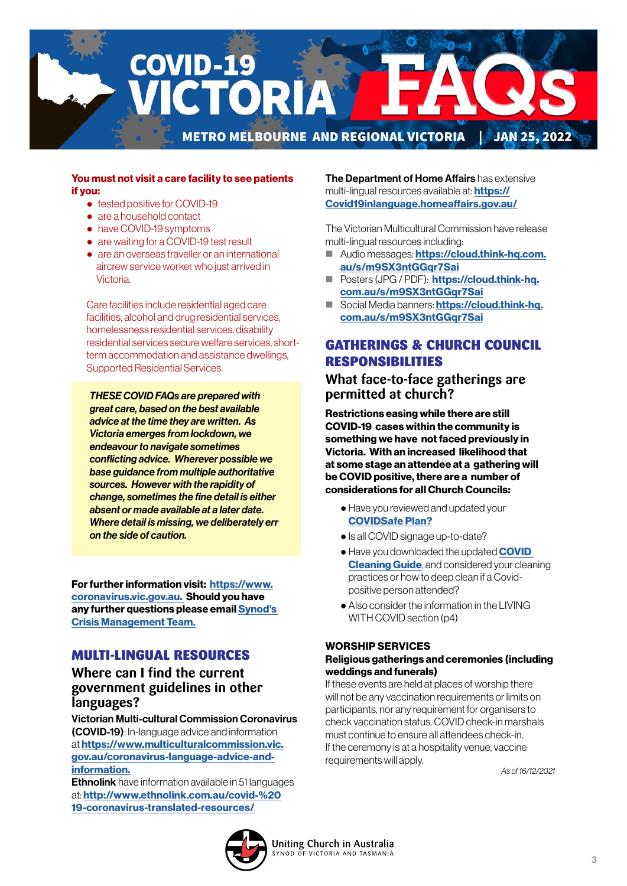

### You must not visit a care facility to see patients if you:

- tested positive for COVID-19
- are a household contact
- have COVID-19 symptoms
- are waiting for a COVID-19 test result
- are an overseas traveller or an international aircrew service worker who just arrived in Victoria.

 Care facilities include residential aged care facilities, alcohol and drug residential services, homelessness residential services, disability residential services secure welfare services, shortterm accommodation and assistance dwellings, Supported Residential Services.

*THESE COVID FAQs are prepared with great care, based on the best available advice at the time they are written. As Victoria emerges from lockdown, we endeavour to navigate sometimes conflicting advice. Wherever possible we base guidance from multiple authoritative sources. However with the rapidity of change, sometimes the fine detail is either absent or made available at a later date. Where detail is missing, we deliberately err on the side of caution.* 

For further information visit: [https://www.](https://www.coronavirus.vic.gov.au) [coronavirus.vic.gov.au.](https://www.coronavirus.vic.gov.au) Should you have any further questions please email [Synod's](mailto:CrisisManagement%40victas.uca.org.au?subject=)  [Crisis Management Team.](mailto:CrisisManagement%40victas.uca.org.au?subject=)

## MULTI-LINGUAL RESOURCES

## **Where can I find the current government guidelines in other languages?**

Victorian Multi-cultural Commission Coronavirus (COVID-19): In-language advice and information at [https://www.multiculturalcommission.vic.](https://www.multiculturalcommission.vic.gov.au/coronavirus-language-advice-and-information) [gov.au/coronavirus-language-advice-and](https://www.multiculturalcommission.vic.gov.au/coronavirus-language-advice-and-information)[information.](https://www.multiculturalcommission.vic.gov.au/coronavirus-language-advice-and-information)

**Ethnolink** have information available in 51 languages at: [http://www.ethnolink.com.au/covid-%20](http://www.ethnolink.com.au/covid-%2019-coronavirus-translated-resources/) [19-coronavirus-translated-resources/](http://www.ethnolink.com.au/covid-%2019-coronavirus-translated-resources/)

The Department of Home Affairs has extensive multi-lingual resources available at: **[https://](https://Covid19inlanguage.homeaffairs.gov.au/)** [Covid19inlanguage.homeaffairs.gov.au/](https://Covid19inlanguage.homeaffairs.gov.au/)

The Victorian Multicultural Commission have release multi-lingual resources including:

- Audio messages: [https://cloud.think-hq.com.](https://cloud.think-hq.com.au/s/m9SX3ntGGqr7Sai) [au/s/m9SX3ntGGqr7Sai](https://cloud.think-hq.com.au/s/m9SX3ntGGqr7Sai)
- **Posters (JPG / PDF): [https://cloud.think-hq.](https://cloud.think-hq.com.au/s/m9SX3ntGGqr7Sai)** [com.au/s/m9SX3ntGGqr7Sai](https://cloud.think-hq.com.au/s/m9SX3ntGGqr7Sai)
- Social Media banners: [https://cloud.think-hq.](https://cloud.think-hq.com.au/s/m9SX3ntGGqr7Sai) [com.au/s/m9SX3ntGGqr7Sai](https://cloud.think-hq.com.au/s/m9SX3ntGGqr7Sai)

# GATHERINGS & CHURCH COUNCIL RESPONSIBILITIES

**What face-to-face gatherings are permitted at church?**

Restrictions easing while there are still COVID-19 cases within the community is something we have not faced previously in Victoria. With an increased likelihood that at some stage an attendee at a gathering will be COVID positive, there are a number of considerations for all Church Councils:

- Have you reviewed and updated your [COVIDSafe Plan?](https://victas.uca.org.au/download/668/faq/8852/recovery-action-plan-checklist-v5)
- Is all COVID signage up-to-date?
- Have you downloaded the updated **COVID [Cleaning Guide](https://victas.uca.org.au/download/668/faq/11557/covid-cleaning-guide)**, and considered your cleaning practices or how to deep clean if a Covidpositive person attended?
- Also consider the information in the LIVING WITH COVID section (p4)

### WORSHIP SERVICES

### Religious gatherings and ceremonies (including weddings and funerals)

If these events are held at places of worship there will not be any vaccination requirements or limits on participants, nor any requirement for organisers to check vaccination status. COVID check-in marshals must continue to ensure all attendees check-in. If the ceremony is at a hospitality venue, vaccine requirements will apply.

*As of 16/12/2021* 

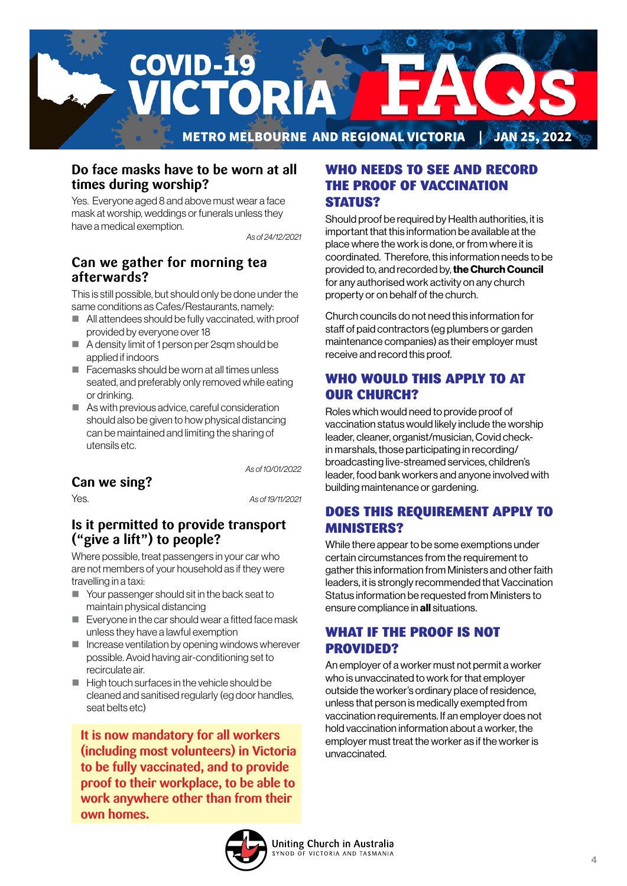

## **Do face masks have to be worn at all times during worship?**

Yes. Everyone aged 8 and above must wear a face mask at worship, weddings or funerals unless they have a medical exemption.

*As of 24/12/2021*

# **Can we gather for morning tea afterwards?**

This is still possible, but should only be done under the same conditions as Cafes/Restaurants, namely:

- All attendees should be fully vaccinated, with proof provided by everyone over 18
- A density limit of 1 person per 2sqm should be applied if indoors
- $\blacksquare$  Facemasks should be worn at all times unless seated, and preferably only removed while eating or drinking.
- As with previous advice, careful consideration should also be given to how physical distancing can be maintained and limiting the sharing of utensils etc.

*As of 10/01/2022*

# **Can we sing?**

Yes. *As of 19/11/2021*

## **Is it permitted to provide transport ("give a lift") to people?**

Where possible, treat passengers in your car who are not members of your household as if they were travelling in a taxi:

- Your passenger should sit in the back seat to maintain physical distancing
- Everyone in the car should wear a fitted face mask unless they have a lawful exemption
- $\blacksquare$  Increase ventilation by opening windows wherever possible. Avoid having air-conditioning set to recirculate air.
- $\blacksquare$  High touch surfaces in the vehicle should be cleaned and sanitised regularly (eg door handles, seat belts etc)

**It is now mandatory for all workers (including most volunteers) in Victoria to be fully vaccinated, and to provide proof to their workplace, to be able to work anywhere other than from their own homes.**

## WHO NEEDS TO SEE AND RECORD THE PROOF OF VACCINATION STATUS?

Should proof be required by Health authorities, it is important that this information be available at the place where the work is done, or from where it is coordinated. Therefore, this information needs to be provided to, and recorded by, the Church Council for any authorised work activity on any church property or on behalf of the church.

Church councils do not need this information for staff of paid contractors (eg plumbers or garden maintenance companies) as their employer must receive and record this proof.

# WHO WOULD THIS APPLY TO AT OUR CHURCH?

Roles which would need to provide proof of vaccination status would likely include the worship leader, cleaner, organist/musician, Covid checkin marshals, those participating in recording/ broadcasting live-streamed services, children's leader, food bank workers and anyone involved with building maintenance or gardening.

# DOES THIS REQUIREMENT APPLY TO MINISTERS?

While there appear to be some exemptions under certain circumstances from the requirement to gather this information from Ministers and other faith leaders, it is strongly recommended that Vaccination Status information be requested from Ministers to ensure compliance in all situations.

## WHAT IF THE PROOF IS NOT PROVIDED?

An employer of a worker must not permit a worker who is unvaccinated to work for that employer outside the worker's ordinary place of residence, unless that person is medically exempted from vaccination requirements. If an employer does not hold vaccination information about a worker, the employer must treat the worker as if the worker is unvaccinated.

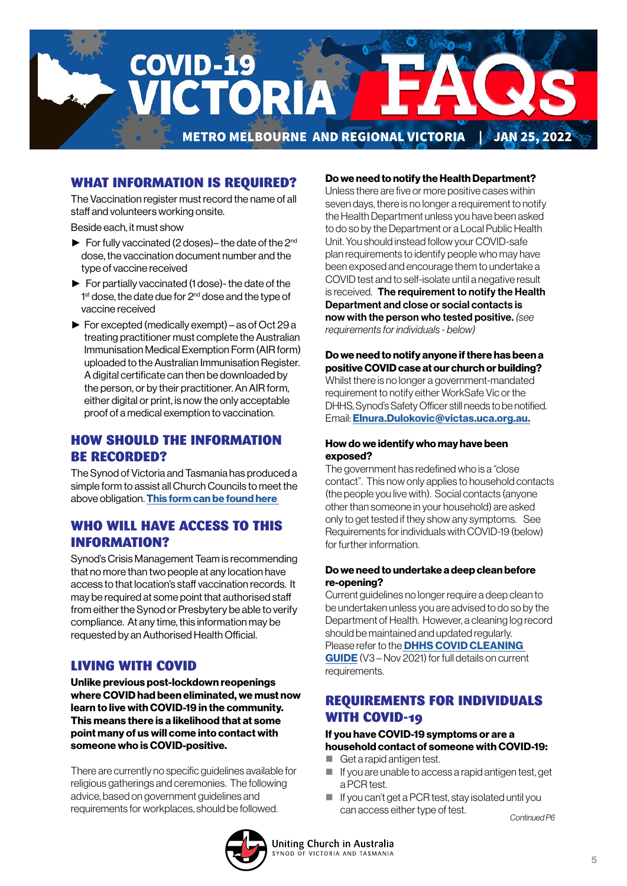

## WHAT INFORMATION IS REQUIRED?

The Vaccination register must record the name of all staff and volunteers working onsite.

Beside each, it must show

- ► For fully vaccinated (2 doses)– the date of the 2nd dose, the vaccination document number and the type of vaccine received
- ► For partially vaccinated (1 dose)- the date of the 1<sup>st</sup> dose, the date due for 2<sup>nd</sup> dose and the type of vaccine received
- ► For excepted (medically exempt) as of Oct 29 a treating practitioner must complete the Australian Immunisation Medical Exemption Form (AIR form) uploaded to the Australian Immunisation Register. A digital certificate can then be downloaded by the person, or by their practitioner. An AIR form, either digital or print, is now the only acceptable proof of a medical exemption to vaccination.

## HOW SHOULD THE INFORMATION BE RECORDED?

The Synod of Victoria and Tasmania has produced a simple form to assist all Church Councils to meet the above obligation. [This form can be found here](https://victas.uca.org.au/download/668/faq/11504/worker-vaccination-status-record-congregations) 

## WHO WILL HAVE ACCESS TO THIS INFORMATION?

Synod's Crisis Management Team is recommending that no more than two people at any location have access to that location's staff vaccination records. It may be required at some point that authorised staff from either the Synod or Presbytery be able to verify compliance. At any time, this information may be requested by an Authorised Health Official.

## LIVING WITH COVID

Unlike previous post-lockdown reopenings where COVID had been eliminated, we must now learn to live with COVID-19 in the community. This means there is a likelihood that at some point many of us will come into contact with someone who is COVID-positive.

There are currently no specific guidelines available for religious gatherings and ceremonies. The following advice, based on government guidelines and requirements for workplaces, should be followed.

### Do we need to notify the Health Department?

Unless there are five or more positive cases within seven days, there is no longer a requirement to notify the Health Department unless you have been asked to do so by the Department or a Local Public Health Unit. You should instead follow your COVID-safe plan requirements to identify people who may have been exposed and encourage them to undertake a COVID test and to self-isolate until a negative result is received. The requirement to notify the Health Department and close or social contacts is now with the person who tested positive. *(see requirements for individuals - below)*

#### Do we need to notify anyone if there has been a positive COVID case at our church or building? Whilst there is no longer a government-mandated requirement to notify either WorkSafe Vic or the DHHS, Synod's Safety Officer still needs to be notified. Email: [Elnura.Dulokovic@victas.uca.org.au.](mailto:Elnura.Dulokovic%40victas.uca.org.au.?subject=)

### How do we identify who may have been exposed?

The government has redefined who is a "close contact". This now only applies to household contacts (the people you live with). Social contacts (anyone other than someone in your household) are asked only to get tested if they show any symptoms. See Requirements for individuals with COVID-19 (below) for further information.

### Do we need to undertake a deep clean before re-opening?

Current guidelines no longer require a deep clean to be undertaken unless you are advised to do so by the Department of Health. However, a cleaning log record should be maintained and updated regularly. Please refer to the **DHHS COVID CLEANING** [GUIDE](https://victas.uca.org.au/download/668/faq/11557/covid-cleaning-guide) (V3 – Nov 2021) for full details on current requirements.

## REQUIREMENTS FOR INDIVIDUALS WITH COVID-19

### If you have COVID-19 symptoms or are a household contact of someone with COVID-19:

- Get a rapid antigen test.
- $\blacksquare$  If you are unable to access a rapid antigen test, get a PCR test.
- If you can't get a PCR test, stay isolated until you can access either type of test.

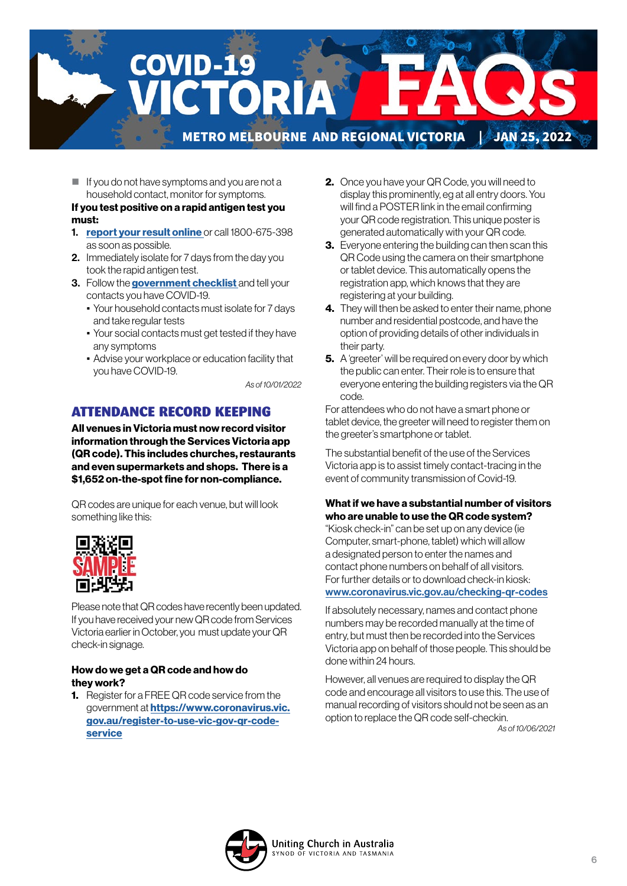

 $\blacksquare$  If you do not have symptoms and you are not a household contact, monitor for symptoms.

### If you test positive on a rapid antigen test you must:

- 1. [report your result online](https://www.coronavirus.vic.gov.au/node/22270) or call 1800-675-398 as soon as possible.
- 2. Immediately isolate for 7 days from the day you took the rapid antigen test.
- 3. Follow the **government checklist** and tell your contacts you have COVID-19.
	- Your household contacts must isolate for 7 days and take regular tests
	- Your social contacts must get tested if they have any symptoms
	- Advise your workplace or education facility that you have COVID-19.

*As of 10/01/2022*

## ATTENDANCE RECORD KEEPING

All venues in Victoria must now record visitor information through the Services Victoria app (QR code). This includes churches, restaurants and even supermarkets and shops. There is a \$1,652 on-the-spot fine for non-compliance.

QR codes are unique for each venue, but will look something like this:



Please note that QR codes have recently been updated. If you have received your new QR code from Services Victoria earlier in October, you must update your QR check-in signage.

### How do we get a QR code and how do they work?

1. Register for a FREE QR code service from the government at [https://www.coronavirus.vic.](https://www.coronavirus.vic.gov.au/register-to-use-vic-gov-qr-code-service) [gov.au/register-to-use-vic-gov-qr-code](https://www.coronavirus.vic.gov.au/register-to-use-vic-gov-qr-code-service)[service](https://www.coronavirus.vic.gov.au/register-to-use-vic-gov-qr-code-service)

- 2. Once you have your QR Code, you will need to display this prominently, eg at all entry doors. You will find a POSTER link in the email confirming your QR code registration. This unique poster is generated automatically with your QR code.
- **3.** Everyone entering the building can then scan this QR Code using the camera on their smartphone or tablet device. This automatically opens the registration app, which knows that they are registering at your building.
- 4. They will then be asked to enter their name, phone number and residential postcode, and have the option of providing details of other individuals in their party.
- **5.** A 'greeter' will be required on every door by which the public can enter. Their role is to ensure that everyone entering the building registers via the QR code.

For attendees who do not have a smart phone or tablet device, the greeter will need to register them on the greeter's smartphone or tablet.

The substantial benefit of the use of the Services Victoria app is to assist timely contact-tracing in the event of community transmission of Covid-19.

### What if we have a substantial number of visitors who are unable to use the QR code system?

"Kiosk check-in" can be set up on any device (ie Computer, smart-phone, tablet) which will allow a designated person to enter the names and contact phone numbers on behalf of all visitors. For further details or to download check-in kiosk: [www.coronavirus.vic.gov.au/checking-qr-codes](http://www.coronavirus.vic.gov.au/checking-qr-codes)

If absolutely necessary, names and contact phone numbers may be recorded manually at the time of entry, but must then be recorded into the Services Victoria app on behalf of those people. This should be done within 24 hours.

However, all venues are required to display the QR code and encourage all visitors to use this. The use of manual recording of visitors should not be seen as an option to replace the QR code self-checkin. *As of 10/06/2021*

Uniting Church in Australia YNOD OF VICTORIA AND TASMANIA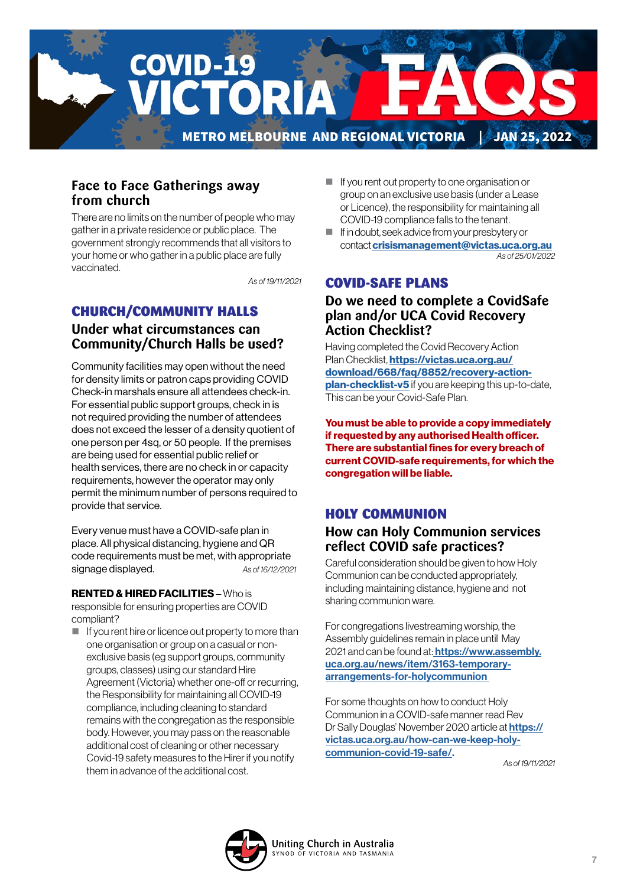

## **Face to Face Gatherings away from church**

There are no limits on the number of people who may gather in a private residence or public place. The government strongly recommends that all visitors to your home or who gather in a public place are fully vaccinated.

*As of 19/11/2021*

### CHURCH/COMMUNITY HALLS **Under what circumstances can**

**Community/Church Halls be used?**

Community facilities may open without the need for density limits or patron caps providing COVID Check-in marshals ensure all attendees check-in. For essential public support groups, check in is not required providing the number of attendees does not exceed the lesser of a density quotient of one person per 4sq, or 50 people. If the premises are being used for essential public relief or health services, there are no check in or capacity requirements, however the operator may only permit the minimum number of persons required to provide that service.

Every venue must have a COVID-safe plan in place. All physical distancing, hygiene and QR code requirements must be met, with appropriate signage displayed. *As of 16/12/2021*

### RENTED & HIRED FACILITIES – Who is

responsible for ensuring properties are COVID compliant?

 $\blacksquare$  If you rent hire or licence out property to more than one organisation or group on a casual or nonexclusive basis (eg support groups, community groups, classes) using our standard Hire Agreement (Victoria) whether one-off or recurring, the Responsibility for maintaining all COVID-19 compliance, including cleaning to standard remains with the congregation as the responsible body. However, you may pass on the reasonable additional cost of cleaning or other necessary Covid-19 safety measures to the Hirer if you notify them in advance of the additional cost.

- If you rent out property to one organisation or group on an exclusive use basis (under a Lease or Licence), the responsibility for maintaining all COVID-19 compliance falls to the tenant.
- If in doubt, seek advice from your presbytery or contact [crisismanagement@victas.uca.org.au](mailto:crisismanagement%40victas.uca.org.au%20?subject=) *As of 25/01/2022*

## COVID-SAFE PLANS

## **Do we need to complete a CovidSafe plan and/or UCA Covid Recovery Action Checklist?**

Having completed the Covid Recovery Action Plan Checklist, [https://victas.uca.org.au/](https://victas.uca.org.au/download/668/faq/8852/recovery-action-plan-checklist-v5) [download/668/faq/8852/recovery-action](https://victas.uca.org.au/download/668/faq/8852/recovery-action-plan-checklist-v5)**[plan-checklist-v5](https://victas.uca.org.au/download/668/faq/8852/recovery-action-plan-checklist-v5)** if you are keeping this up-to-date, This can be your Covid-Safe Plan.

You must be able to provide a copy immediately if requested by any authorised Health officer. There are substantial fines for every breach of current COVID-safe requirements, for which the congregation will be liable.

# HOLY COMMUNION

## **How can Holy Communion services reflect COVID safe practices?**

Careful consideration should be given to how Holy Communion can be conducted appropriately, including maintaining distance, hygiene and not sharing communion ware.

For congregations livestreaming worship, the Assembly guidelines remain in place until May 2021 and can be found at: **https://www.assembly.** [uca.org.au/news/item/3163-temporary](https://
www.assembly.uca.org.au/news/item/3163-
temporary-arrangements-for-holycommunion )[arrangements-for-holycommunion](https://
www.assembly.uca.org.au/news/item/3163-
temporary-arrangements-for-holycommunion ) 

For some thoughts on how to conduct Holy Communion in a COVID-safe manner read Rev Dr Sally Douglas' November 2020 article at **[https://](https://

victas.uca.org.au/how-can-we-keep-holy-

communion-covid-19-safe/)** [victas.uca.org.au/how-can-we-keep-holy](https://

victas.uca.org.au/how-can-we-keep-holy-

communion-covid-19-safe/)[communion-covid-19-safe/.](https://

victas.uca.org.au/how-can-we-keep-holy-

communion-covid-19-safe/) 

*As of 19/11/2021*

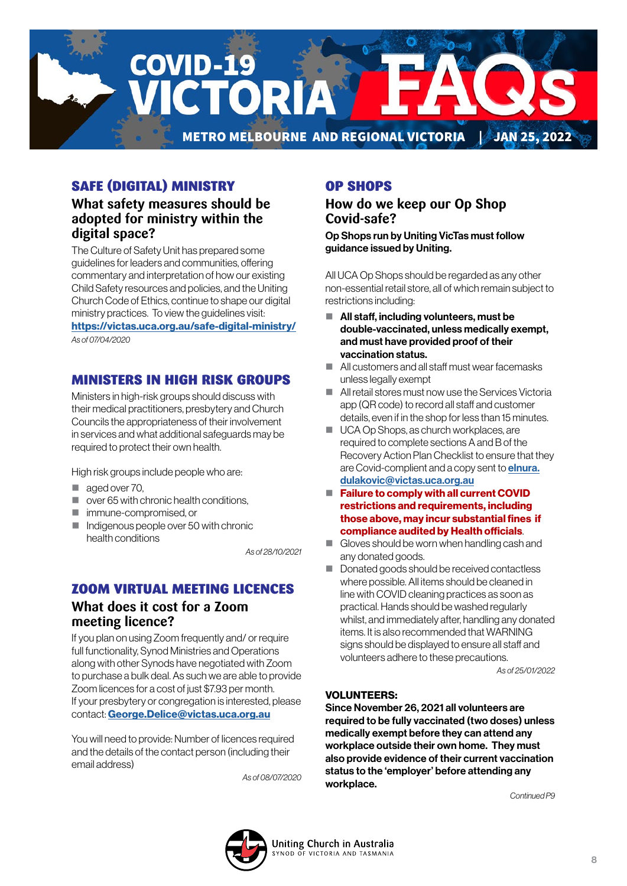

# SAFE (DIGITAL) MINISTRY

## **What safety measures should be adopted for ministry within the digital space?**

The Culture of Safety Unit has prepared some guidelines for leaders and communities, offering commentary and interpretation of how our existing Child Safety resources and policies, and the Uniting Church Code of Ethics, continue to shape our digital ministry practices. To view the guidelines visit:

<https://victas.uca.org.au/safe-digital-ministry/> *As of 07/04/2020*

# MINISTERS IN HIGH RISK GROUPS

Ministers in high-risk groups should discuss with their medical practitioners, presbytery and Church Councils the appropriateness of their involvement in services and what additional safeguards may be required to protect their own health.

High risk groups include people who are:

- aged over 70.
- $\Box$  over 65 with chronic health conditions,
- immune-compromised, or
- $\blacksquare$  Indigenous people over 50 with chronic health conditions

*As of 28/10/2021*

## ZOOM VIRTUAL MEETING LICENCES

## **What does it cost for a Zoom meeting licence?**

If you plan on using Zoom frequently and/ or require full functionality, Synod Ministries and Operations along with other Synods have negotiated with Zoom to purchase a bulk deal. As such we are able to provide Zoom licences for a cost of just \$7.93 per month. If your presbytery or congregation is interested, please contact: [George.Delice@victas.uca.org.au](mailto:George.Delice%40victas.uca.org.au?subject=)

You will need to provide: Number of licences required and the details of the contact person (including their email address)

*As of 08/07/2020*

# OP SHOPS

**How do we keep our Op Shop Covid-safe?** 

Op Shops run by Uniting VicTas must follow guidance issued by Uniting.

All UCA Op Shops should be regarded as any other non-essential retail store, all of which remain subject to restrictions including:

- All staff, including volunteers, must be double-vaccinated, unless medically exempt, and must have provided proof of their vaccination status.
- All customers and all staff must wear facemasks unless legally exempt
- All retail stores must now use the Services Victoria app (QR code) to record all staff and customer details, even if in the shop for less than 15 minutes.
- UCA Op Shops, as church workplaces, are required to complete sections A and B of the Recovery Action Plan Checklist to ensure that they are Covid-complient and a copy sent to **[elnura.](mailto:elnura.dulakovic%40victas.uca.org.au%20%20?subject=)** [dulakovic@victas.uca.org.au](mailto:elnura.dulakovic%40victas.uca.org.au%20%20?subject=)
- Failure to comply with all current COVID [restrictions and requirements, including](mailto:elnura.dulakovic%40victas.uca.org.au%20%20?subject=)  [those above, may incur substantial fines if](mailto:elnura.dulakovic%40victas.uca.org.au%20%20?subject=)  [compliance audited by Health officials](mailto:elnura.dulakovic%40victas.uca.org.au%20%20?subject=).
- Gloves should be worn when handling cash and any donated goods.
- Donated goods should be received contactless where possible. All items should be cleaned in line with COVID cleaning practices as soon as practical. Hands should be washed regularly whilst, and immediately after, handling any donated items. It is also recommended that WARNING signs should be displayed to ensure all staff and volunteers adhere to these precautions.

*As of 25/01/2022*

### VOLUNTEERS:

Since November 26, 2021 all volunteers are required to be fully vaccinated (two doses) unless medically exempt before they can attend any workplace outside their own home. They must also provide evidence of their current vaccination status to the 'employer' before attending any workplace.